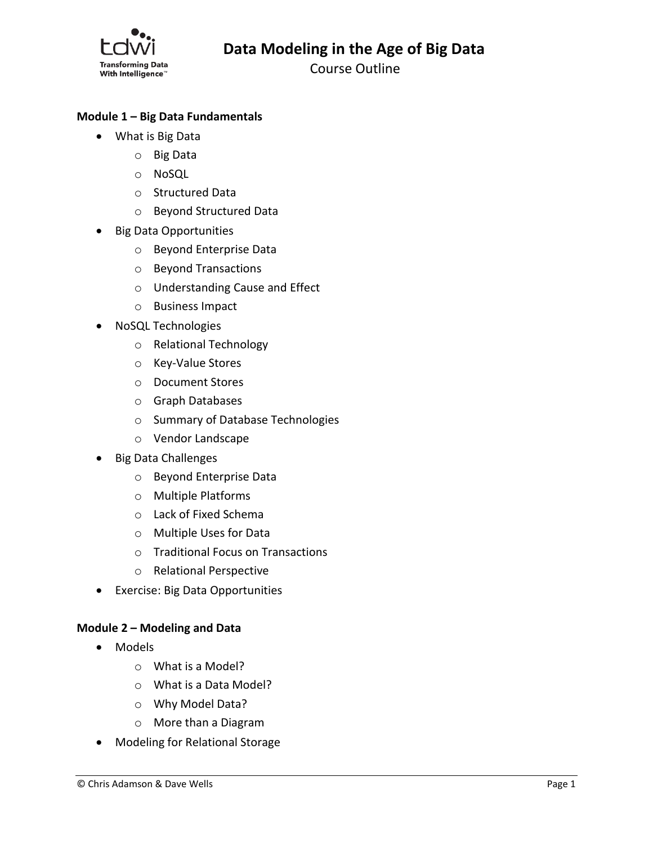

Course Outline

# **Module 1 – Big Data Fundamentals**

- What is Big Data
	- o Big Data
	- o NoSQL
	- o Structured Data
	- o Beyond Structured Data
- Big Data Opportunities
	- o Beyond Enterprise Data
	- o Beyond Transactions
	- o Understanding Cause and Effect
	- o Business Impact
- NoSQL Technologies
	- o Relational Technology
	- o Key-Value Stores
	- o Document Stores
	- o Graph Databases
	- o Summary of Database Technologies
	- o Vendor Landscape
- Big Data Challenges
	- o Beyond Enterprise Data
	- o Multiple Platforms
	- o Lack of Fixed Schema
	- o Multiple Uses for Data
	- o Traditional Focus on Transactions
	- o Relational Perspective
- Exercise: Big Data Opportunities

#### **Module 2 – Modeling and Data**

- Models
	- o What is a Model?
	- o What is a Data Model?
	- o Why Model Data?
	- o More than a Diagram
- Modeling for Relational Storage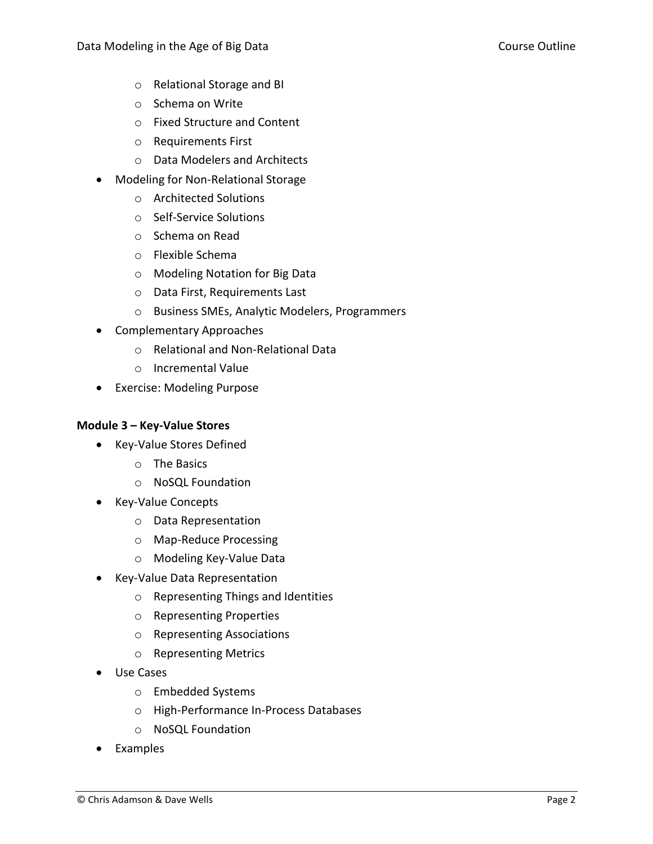- o Relational Storage and BI
- o Schema on Write
- o Fixed Structure and Content
- o Requirements First
- o Data Modelers and Architects
- Modeling for Non-Relational Storage
	- o Architected Solutions
	- o Self-Service Solutions
	- o Schema on Read
	- o Flexible Schema
	- o Modeling Notation for Big Data
	- o Data First, Requirements Last
	- o Business SMEs, Analytic Modelers, Programmers
- Complementary Approaches
	- o Relational and Non-Relational Data
	- o Incremental Value
- Exercise: Modeling Purpose

### **Module 3 – Key-Value Stores**

- Key-Value Stores Defined
	- o The Basics
	- o NoSQL Foundation
- Key-Value Concepts
	- o Data Representation
	- o Map-Reduce Processing
	- o Modeling Key-Value Data
- Key-Value Data Representation
	- o Representing Things and Identities
	- o Representing Properties
	- o Representing Associations
	- o Representing Metrics
- Use Cases
	- o Embedded Systems
	- o High-Performance In-Process Databases
	- o NoSQL Foundation
- Examples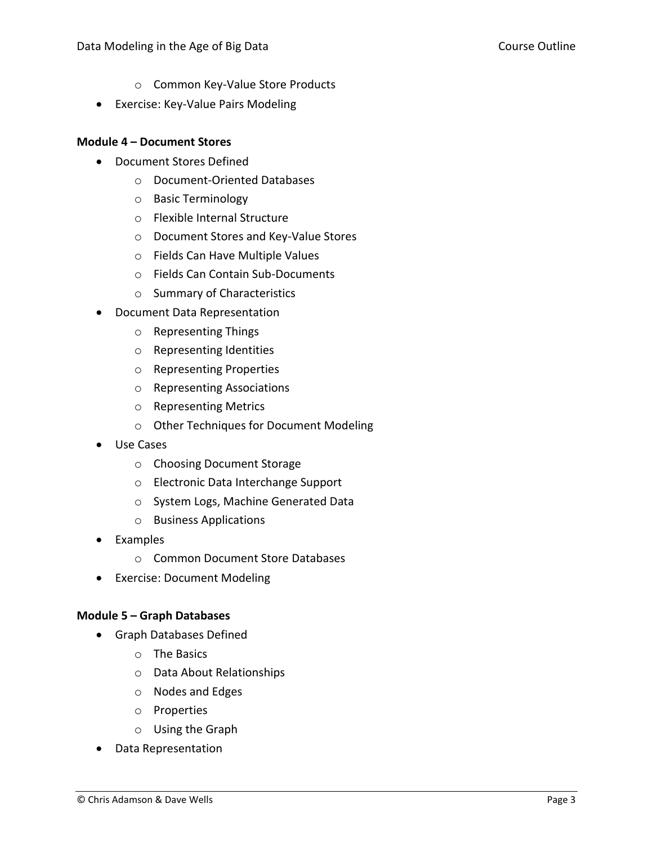- o Common Key-Value Store Products
- Exercise: Key-Value Pairs Modeling

### **Module 4 – Document Stores**

- Document Stores Defined
	- o Document-Oriented Databases
	- o Basic Terminology
	- o Flexible Internal Structure
	- o Document Stores and Key-Value Stores
	- o Fields Can Have Multiple Values
	- o Fields Can Contain Sub-Documents
	- o Summary of Characteristics
- Document Data Representation
	- o Representing Things
	- o Representing Identities
	- o Representing Properties
	- o Representing Associations
	- o Representing Metrics
	- o Other Techniques for Document Modeling
- Use Cases
	- o Choosing Document Storage
	- o Electronic Data Interchange Support
	- o System Logs, Machine Generated Data
	- o Business Applications
- Examples
	- o Common Document Store Databases
- Exercise: Document Modeling

### **Module 5 – Graph Databases**

- Graph Databases Defined
	- o The Basics
	- o Data About Relationships
	- o Nodes and Edges
	- o Properties
	- o Using the Graph
- Data Representation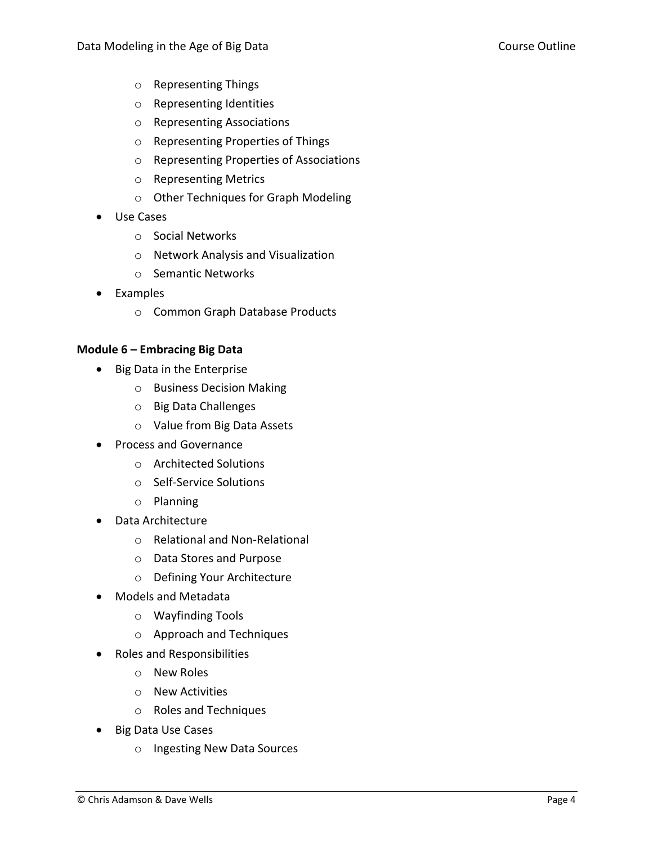- o Representing Things
- o Representing Identities
- o Representing Associations
- o Representing Properties of Things
- o Representing Properties of Associations
- o Representing Metrics
- o Other Techniques for Graph Modeling
- Use Cases
	- o Social Networks
	- o Network Analysis and Visualization
	- o Semantic Networks
- Examples
	- o Common Graph Database Products

## **Module 6 – Embracing Big Data**

- Big Data in the Enterprise
	- o Business Decision Making
	- o Big Data Challenges
	- o Value from Big Data Assets
- Process and Governance
	- o Architected Solutions
	- o Self-Service Solutions
	- o Planning
- Data Architecture
	- o Relational and Non-Relational
	- o Data Stores and Purpose
	- o Defining Your Architecture
- Models and Metadata
	- o Wayfinding Tools
	- o Approach and Techniques
- Roles and Responsibilities
	- o New Roles
	- o New Activities
	- o Roles and Techniques
- Big Data Use Cases
	- o Ingesting New Data Sources